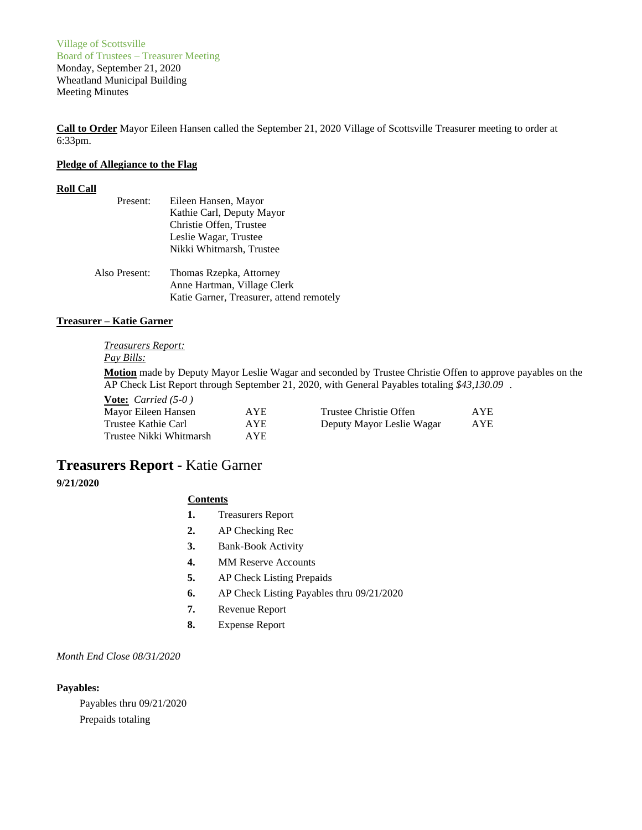Village of Scottsville Board of Trustees – Treasurer Meeting Monday, September 21, 2020 Wheatland Municipal Building Meeting Minutes

**Call to Order** Mayor Eileen Hansen called the September 21, 2020 Village of Scottsville Treasurer meeting to order at 6:33pm.

## **Pledge of Allegiance to the Flag**

# **Roll Call**

| Present:      | Eileen Hansen, Mayor                     |  |  |
|---------------|------------------------------------------|--|--|
|               | Kathie Carl, Deputy Mayor                |  |  |
|               | Christie Offen, Trustee                  |  |  |
|               | Leslie Wagar, Trustee                    |  |  |
|               | Nikki Whitmarsh, Trustee                 |  |  |
| Also Present: | Thomas Rzepka, Attorney                  |  |  |
|               | Anne Hartman, Village Clerk              |  |  |
|               | Katie Garner, Treasurer, attend remotely |  |  |

## **Treasurer – Katie Garner**

#### *Treasurers Report: Pay Bills:*

**Motion** made by Deputy Mayor Leslie Wagar and seconded by Trustee Christie Offen to approve payables on the AP Check List Report through September 21, 2020, with General Payables totaling *\$43,130.09* .

| <b>Vote:</b> <i>Carried</i> (5-0) |      |                           |            |
|-----------------------------------|------|---------------------------|------------|
| Mayor Eileen Hansen               | AYE. | Trustee Christie Offen    | <b>AYE</b> |
| Trustee Kathie Carl               | AYE. | Deputy Mayor Leslie Wagar | AYE        |
| Trustee Nikki Whitmarsh           | AYE. |                           |            |

# **Treasurers Report -** Katie Garner

## **9/21/2020**

## **Contents**

- **1.** Treasurers Report
- **2.** AP Checking Rec
- **3.** Bank-Book Activity
- **4.** MM Reserve Accounts
- **5.** AP Check Listing Prepaids
- **6.** AP Check Listing Payables thru 09/21/2020
- **7.** Revenue Report
- **8.** Expense Report

## *Month End Close 08/31/2020*

## **Payables:**

Payables thru 09/21/2020 Prepaids totaling